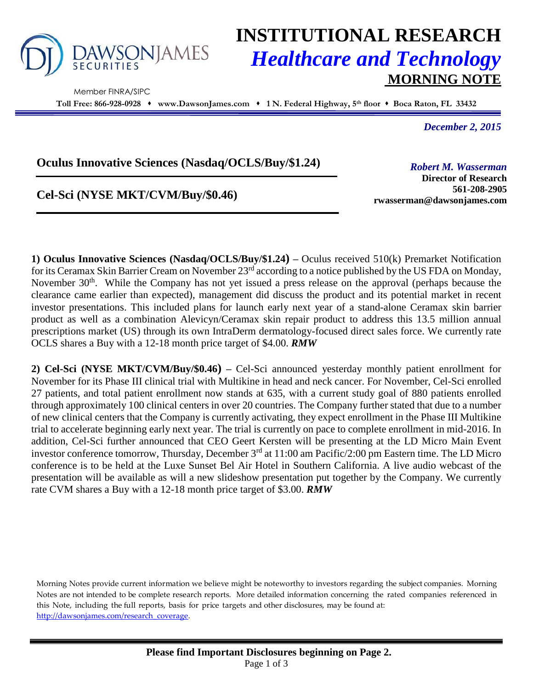

Member FINRA/SIPC

# **INSTITUTIONAL RESEARCH** *Healthcare and Technology* **MORNING NOTE**

**Toll Free: 866-928-0928 www.DawsonJames.com 1 N. Federal Highway, 5 th floor Boca Raton, FL 33432**

*December 2, 2015*

### **Oculus Innovative Sciences (Nasdaq/OCLS/Buy/\$1.24)**

## **Cel-Sci (NYSE MKT/CVM/Buy/\$0.46)**

*Robert M. Wasserman*

**Director of Research 561-208-2905 rwasserman@dawsonjames.com**

**1) Oculus Innovative Sciences (Nasdaq/OCLS/Buy/\$1.24) –** Oculus received 510(k) Premarket Notification for its Ceramax Skin Barrier Cream on November 23rd according to a notice published by the US FDA on Monday, November 30<sup>th</sup>. While the Company has not yet issued a press release on the approval (perhaps because the clearance came earlier than expected), management did discuss the product and its potential market in recent investor presentations. This included plans for launch early next year of a stand-alone Ceramax skin barrier product as well as a combination Alevicyn/Ceramax skin repair product to address this 13.5 million annual prescriptions market (US) through its own IntraDerm dermatology-focused direct sales force. We currently rate OCLS shares a Buy with a 12-18 month price target of \$4.00. *RMW*

**2) Cel-Sci (NYSE MKT/CVM/Buy/\$0.46) –** Cel-Sci announced yesterday monthly patient enrollment for November for its Phase III clinical trial with Multikine in head and neck cancer. For November, Cel-Sci enrolled 27 patients, and total patient enrollment now stands at 635, with a current study goal of 880 patients enrolled through approximately 100 clinical centers in over 20 countries. The Company further stated that due to a number of new clinical centers that the Company is currently activating, they expect enrollment in the Phase III Multikine trial to accelerate beginning early next year. The trial is currently on pace to complete enrollment in mid-2016. In addition, Cel-Sci further announced that CEO Geert Kersten will be presenting at the LD Micro Main Event investor conference tomorrow, Thursday, December 3<sup>rd</sup> at 11:00 am Pacific/2:00 pm Eastern time. The LD Micro conference is to be held at the Luxe Sunset Bel Air Hotel in Southern California. A live audio webcast of the presentation will be available as will a new slideshow presentation put together by the Company. We currently rate CVM shares a Buy with a 12-18 month price target of \$3.00. *RMW*

Morning Notes provide current information we believe might be noteworthy to investors regarding the subject companies. Morning Notes are not intended to be complete research reports. More detailed information concerning the rated companies referenced in this Note, including the full reports, basis for price targets and other disclosures, may be found at: [http://dawsonjames.com/research\\_coverage.](http://dawsonjames.com/research_coverage)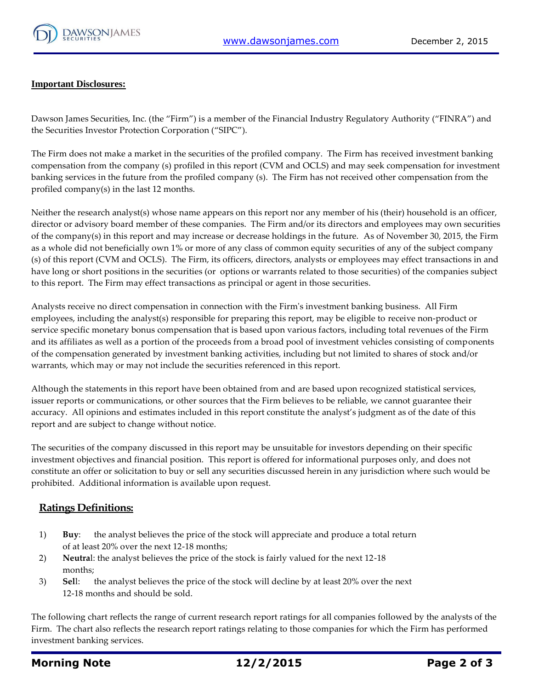

#### **Important Disclosures:**

Dawson James Securities, Inc. (the "Firm") is a member of the Financial Industry Regulatory Authority ("FINRA") and the Securities Investor Protection Corporation ("SIPC").

The Firm does not make a market in the securities of the profiled company. The Firm has received investment banking compensation from the company (s) profiled in this report (CVM and OCLS) and may seek compensation for investment banking services in the future from the profiled company (s). The Firm has not received other compensation from the profiled company(s) in the last 12 months.

Neither the research analyst(s) whose name appears on this report nor any member of his (their) household is an officer, director or advisory board member of these companies. The Firm and/or its directors and employees may own securities of the company(s) in this report and may increase or decrease holdings in the future. As of November 30, 2015, the Firm as a whole did not beneficially own 1% or more of any class of common equity securities of any of the subject company (s) of this report (CVM and OCLS). The Firm, its officers, directors, analysts or employees may effect transactions in and have long or short positions in the securities (or options or warrants related to those securities) of the companies subject to this report. The Firm may effect transactions as principal or agent in those securities.

Analysts receive no direct compensation in connection with the Firm's investment banking business. All Firm employees, including the analyst(s) responsible for preparing this report, may be eligible to receive non-product or service specific monetary bonus compensation that is based upon various factors, including total revenues of the Firm and its affiliates as well as a portion of the proceeds from a broad pool of investment vehicles consisting of components of the compensation generated by investment banking activities, including but not limited to shares of stock and/or warrants, which may or may not include the securities referenced in this report.

Although the statements in this report have been obtained from and are based upon recognized statistical services, issuer reports or communications, or other sources that the Firm believes to be reliable, we cannot guarantee their accuracy. All opinions and estimates included in this report constitute the analyst's judgment as of the date of this report and are subject to change without notice.

The securities of the company discussed in this report may be unsuitable for investors depending on their specific investment objectives and financial position. This report is offered for informational purposes only, and does not constitute an offer or solicitation to buy or sell any securities discussed herein in any jurisdiction where such would be prohibited. Additional information is available upon request.

#### **Ratings Definitions:**

- 1) **Buy**: the analyst believes the price of the stock will appreciate and produce a total return of at least 20% over the next 12-18 months;
- 2) **Neutra**l: the analyst believes the price of the stock is fairly valued for the next 12-18 months;
- 3) **Sel**l: the analyst believes the price of the stock will decline by at least 20% over the next 12-18 months and should be sold.

The following chart reflects the range of current research report ratings for all companies followed by the analysts of the Firm. The chart also reflects the research report ratings relating to those companies for which the Firm has performed investment banking services.